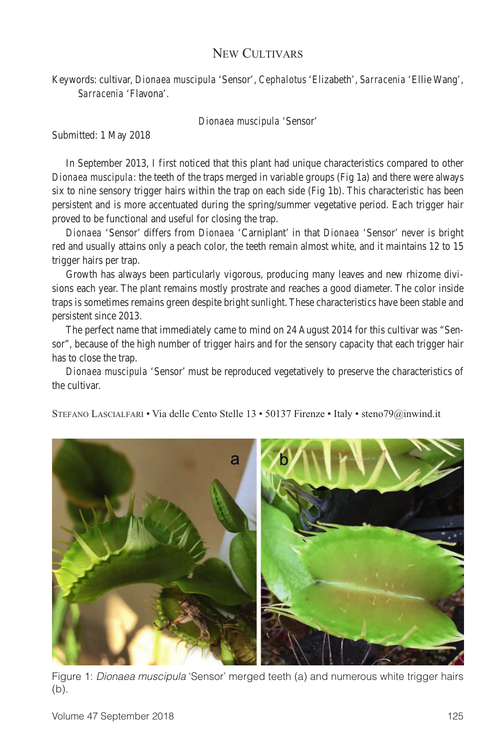## New Cultivars

Keywords: cultivar, *Dionaea muscipula* 'Sensor', *Cephalotus* 'Elizabeth', *Sarracenia* 'Ellie Wang', *Sarracenia* 'Flavona'.

*Dionaea muscipula* 'Sensor'

Submitted: 1 May 2018

In September 2013, I first noticed that this plant had unique characteristics compared to other *Dionaea muscipula*: the teeth of the traps merged in variable groups (Fig 1a) and there were always six to nine sensory trigger hairs within the trap on each side (Fig 1b). This characteristic has been persistent and is more accentuated during the spring/summer vegetative period. Each trigger hair proved to be functional and useful for closing the trap.

*Dionaea* 'Sensor' differs from *Dionaea* 'Carniplant' in that *Dionaea* 'Sensor' never is bright red and usually attains only a peach color, the teeth remain almost white, and it maintains 12 to 15 trigger hairs per trap.

Growth has always been particularly vigorous, producing many leaves and new rhizome divisions each year. The plant remains mostly prostrate and reaches a good diameter. The color inside traps is sometimes remains green despite bright sunlight. These characteristics have been stable and persistent since 2013.

The perfect name that immediately came to mind on 24 August 2014 for this cultivar was "Sensor", because of the high number of trigger hairs and for the sensory capacity that each trigger hair has to close the trap.

*Dionaea muscipula* 'Sensor' must be reproduced vegetatively to preserve the characteristics of the cultivar.

Stefano Lascialfari • Via delle Cento Stelle 13 • 50137 Firenze • Italy • steno79@inwind.it



Figure 1: *Dionaea muscipula* 'Sensor' merged teeth (a) and numerous white trigger hairs (b).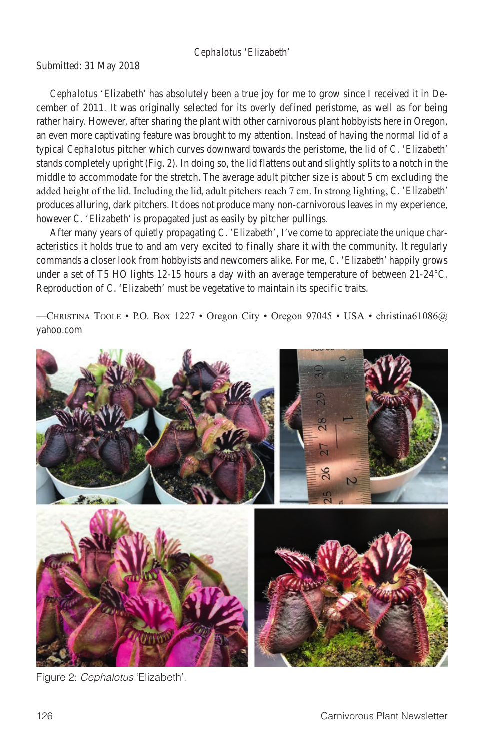## *Cephalotus* 'Elizabeth'

Submitted: 31 May 2018

*Cephalotus* 'Elizabeth' has absolutely been a true joy for me to grow since I received it in December of 2011. It was originally selected for its overly defined peristome, as well as for being rather hairy. However, after sharing the plant with other carnivorous plant hobbyists here in Oregon, an even more captivating feature was brought to my attention. Instead of having the normal lid of a typical *Cephalotus* pitcher which curves downward towards the peristome, the lid of *C*. 'Elizabeth' stands completely upright (Fig. 2). In doing so, the lid flattens out and slightly splits to a notch in the middle to accommodate for the stretch. The average adult pitcher size is about 5 cm excluding the added height of the lid. Including the lid, adult pitchers reach 7 cm. In strong lighting, *C*. 'Elizabeth' produces alluring, dark pitchers. It does not produce many non-carnivorous leaves in my experience, however *C*. 'Elizabeth' is propagated just as easily by pitcher pullings.

After many years of quietly propagating *C*. 'Elizabeth', I've come to appreciate the unique characteristics it holds true to and am very excited to finally share it with the community. It regularly commands a closer look from hobbyists and newcomers alike. For me, *C*. 'Elizabeth' happily grows under a set of T5 HO lights 12-15 hours a day with an average temperature of between 21-24°C. Reproduction of *C*. 'Elizabeth' must be vegetative to maintain its specific traits.

—Christina Toole • P.O. Box 1227 • Oregon City • Oregon 97045 • USA • christina61086@ yahoo.com



Figure 2: *Cephalotus* 'Elizabeth'.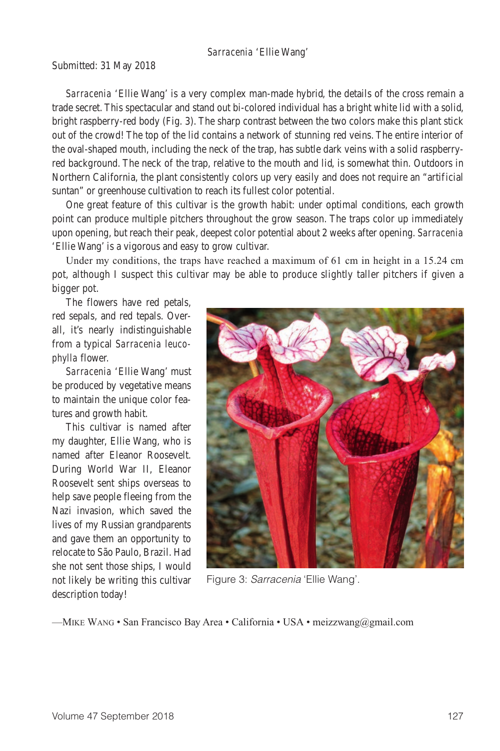## *Sarracenia* 'Ellie Wang'

Submitted: 31 May 2018

*Sarracenia* 'Ellie Wang' is a very complex man-made hybrid, the details of the cross remain a trade secret. This spectacular and stand out bi-colored individual has a bright white lid with a solid, bright raspberry-red body (Fig. 3). The sharp contrast between the two colors make this plant stick out of the crowd! The top of the lid contains a network of stunning red veins. The entire interior of the oval-shaped mouth, including the neck of the trap, has subtle dark veins with a solid raspberryred background. The neck of the trap, relative to the mouth and lid, is somewhat thin. Outdoors in Northern California, the plant consistently colors up very easily and does not require an "artificial suntan" or greenhouse cultivation to reach its fullest color potential.

One great feature of this cultivar is the growth habit: under optimal conditions, each growth point can produce multiple pitchers throughout the grow season. The traps color up immediately upon opening, but reach their peak, deepest color potential about 2 weeks after opening. *Sarracenia* 'Ellie Wang' is a vigorous and easy to grow cultivar.

Under my conditions, the traps have reached a maximum of 61 cm in height in a 15.24 cm pot, although I suspect this cultivar may be able to produce slightly taller pitchers if given a bigger pot.

The flowers have red petals, red sepals, and red tepals. Overall, it's nearly indistinguishable from a typical *Sarracenia leucophylla* flower.

*Sarracenia* 'Ellie Wang' must be produced by vegetative means to maintain the unique color features and growth habit.

This cultivar is named after my daughter, Ellie Wang, who is named after Eleanor Roosevelt. During World War II, Eleanor Roosevelt sent ships overseas to help save people fleeing from the Nazi invasion, which saved the lives of my Russian grandparents and gave them an opportunity to relocate to São Paulo, Brazil. Had she not sent those ships, I would not likely be writing this cultivar description today!



Figure 3: *Sarracenia* 'Ellie Wang'.

—Mike Wang • San Francisco Bay Area • California • USA • meizzwang@gmail.com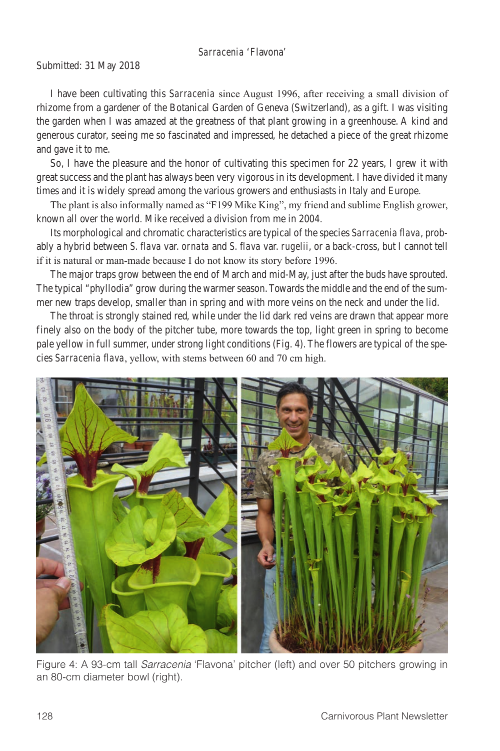## *Sarracenia* 'Flavona'

Submitted: 31 May 2018

I have been cultivating this *Sarracenia* since August 1996, after receiving a small division of rhizome from a gardener of the Botanical Garden of Geneva (Switzerland), as a gift. I was visiting the garden when I was amazed at the greatness of that plant growing in a greenhouse. A kind and generous curator, seeing me so fascinated and impressed, he detached a piece of the great rhizome and gave it to me.

So, I have the pleasure and the honor of cultivating this specimen for 22 years, I grew it with great success and the plant has always been very vigorous in its development. I have divided it many times and it is widely spread among the various growers and enthusiasts in Italy and Europe.

The plant is also informally named as "F199 Mike King", my friend and sublime English grower, known all over the world. Mike received a division from me in 2004.

Its morphological and chromatic characteristics are typical of the species *Sarracenia flava*, probably a hybrid between *S. flava* var. *ornata* and *S. flava* var. *rugelii*, or a back-cross, but I cannot tell if it is natural or man-made because I do not know its story before 1996.

The major traps grow between the end of March and mid-May, just after the buds have sprouted. The typical "phyllodia" grow during the warmer season. Towards the middle and the end of the summer new traps develop, smaller than in spring and with more veins on the neck and under the lid.

The throat is strongly stained red, while under the lid dark red veins are drawn that appear more finely also on the body of the pitcher tube, more towards the top, light green in spring to become pale yellow in full summer, under strong light conditions (Fig. 4). The flowers are typical of the species *Sarracenia flava*, yellow, with stems between 60 and 70 cm high.



Figure 4: A 93-cm tall *Sarracenia* 'Flavona' pitcher (left) and over 50 pitchers growing in an 80-cm diameter bowl (right).